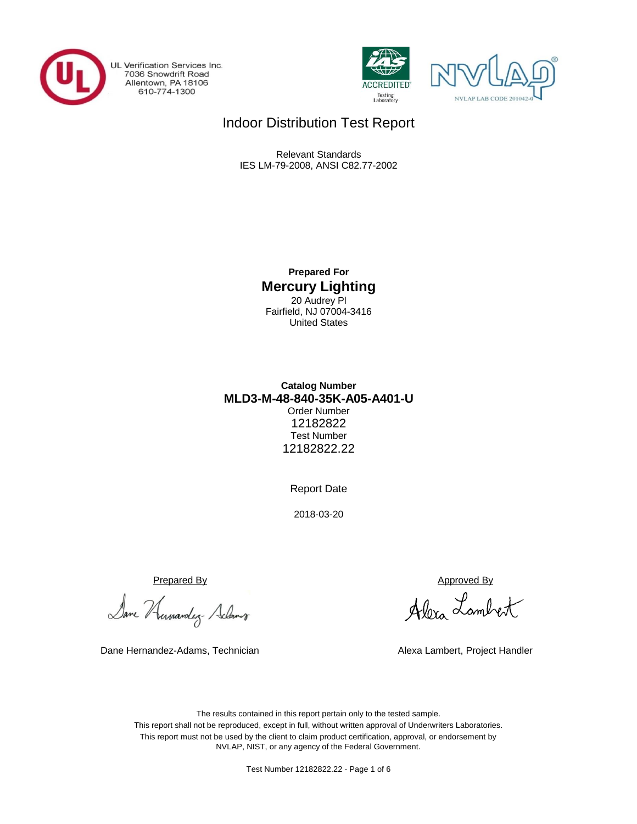

UL Verification Services Inc. 7036 Snowdrift Road<br>Allentown, PA 18106<br>610-774-1300





# Indoor Distribution Test Report

Relevant Standards IES LM-79-2008, ANSI C82.77-2002

> **Prepared For Mercury Lighting** 20 Audrey Pl Fairfield, NJ 07004-3416 United States

## **MLD3-M-48-840-35K-A05-A401-U Catalog Number** Order Number 12182822 Test Number 12182822.22

Report Date

2018-03-20

Prepared By Approved By

Dane Humandez- Adams

Dane Hernandez-Adams, Technician Alexa Lambert, Project Handler

Alexa Lambert

The results contained in this report pertain only to the tested sample. This report shall not be reproduced, except in full, without written approval of Underwriters Laboratories. This report must not be used by the client to claim product certification, approval, or endorsement by NVLAP, NIST, or any agency of the Federal Government.

Test Number 12182822.22 - Page 1 of 6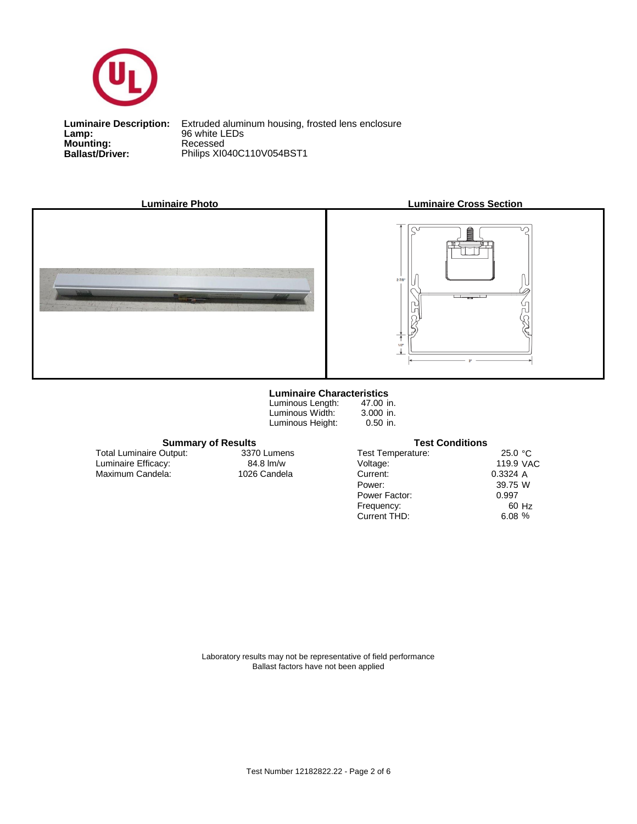

**Lamp:**<br>Mounting:<br>Ballast/Driver:

**Ballast/Driver:** Philips XI040C110V054BST1 **Luminaire Description:** Extruded aluminum housing, frosted lens enclosure **Lamp:** 96 white LEDs







### **Luminaire Characteristics**

Luminous Length: Luminous Width: Luminous Height:

47.00 in. 3.000 in. 0.50 in.

Test Temperature:

Power Factor:

Power: Current:

Voltage:

Current THD:

Frequency:

25.0 °C 119.9 VAC A 0.3324 W 39.75 60 Hz % 6.08 0.997

**Summary of Results Test Conditions**

Maximum Candela: 1026 Candela Luminaire Efficacy: Total Luminaire Output:

3370 Lumens<br>84.8 lm/w

Laboratory results may not be representative of field performance Ballast factors have not been applied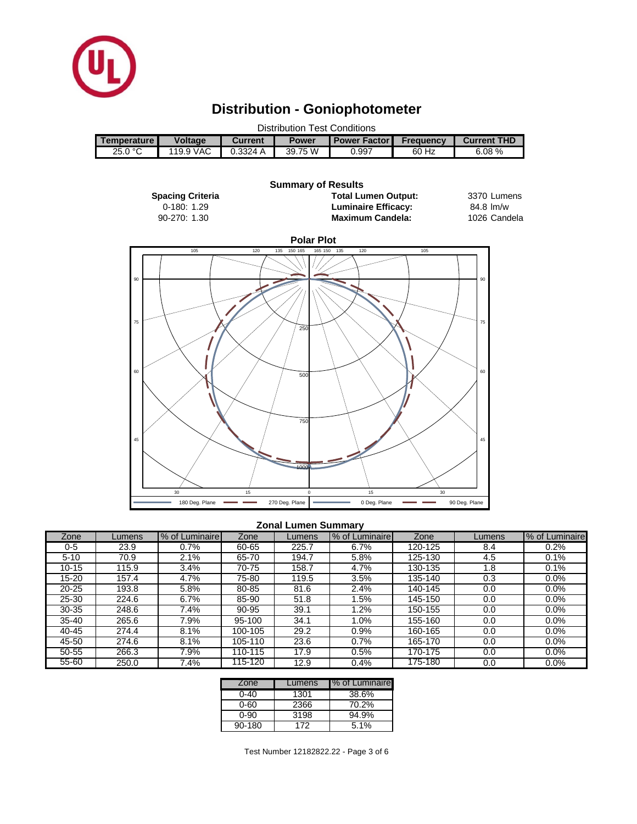

45

60

# **Distribution - Goniophotometer**



500

750

1000

#### **Zonal Lumen Summary**

 $30$  15 0

180 Deg. Plane **270 Deg. Plane** 270 Deg. Plane **270 Deg. Plane** 90 Deg. Plane

15 30

 $\overline{\phantom{a}}$ 

45

60

| Zone      | Lumens | % of Luminaire | Zone    | Lumens | % of Luminaire | Zone    | Lumens | % of Luminaire |
|-----------|--------|----------------|---------|--------|----------------|---------|--------|----------------|
| $0 - 5$   | 23.9   | 0.7%           | 60-65   | 225.7  | 6.7%           | 120-125 | 8.4    | 0.2%           |
| $5 - 10$  | 70.9   | $2.1\%$        | 65-70   | 194.7  | 5.8%           | 125-130 | 4.5    | 0.1%           |
| $10 - 15$ | 115.9  | 3.4%           | 70-75   | 158.7  | 4.7%           | 130-135 | 1.8    | 0.1%           |
| 15-20     | 157.4  | 4.7%           | 75-80   | 119.5  | 3.5%           | 135-140 | 0.3    | 0.0%           |
| $20 - 25$ | 193.8  | 5.8%           | 80-85   | 81.6   | 2.4%           | 140-145 | 0.0    | $0.0\%$        |
| 25-30     | 224.6  | 6.7%           | 85-90   | 51.8   | .5%            | 145-150 | 0.0    | $0.0\%$        |
| $30 - 35$ | 248.6  | 7.4%           | 90-95   | 39.1   | .2%            | 150-155 | 0.0    | $0.0\%$        |
| $35 - 40$ | 265.6  | 7.9%           | 95-100  | 34.1   | 1.0%           | 155-160 | 0.0    | $0.0\%$        |
| 40-45     | 274.4  | 8.1%           | 100-105 | 29.2   | 0.9%           | 160-165 | 0.0    | $0.0\%$        |
| 45-50     | 274.6  | 8.1%           | 105-110 | 23.6   | 0.7%           | 165-170 | 0.0    | 0.0%           |
| 50-55     | 266.3  | 7.9%           | 110-115 | 17.9   | 0.5%           | 170-175 | 0.0    | $0.0\%$        |
| $55 - 60$ | 250.0  | 7.4%           | 115-120 | 12.9   | 0.4%           | 175-180 | 0.0    | 0.0%           |

| Zone   | Lumens | I% of Luminaire |
|--------|--------|-----------------|
| ი-4ი   | 1301   | 38.6%           |
| 0-60   | 2366   | 70.2%           |
| ი-90   | 3198   | 94.9%           |
| 90-180 | 172    | 5.1%            |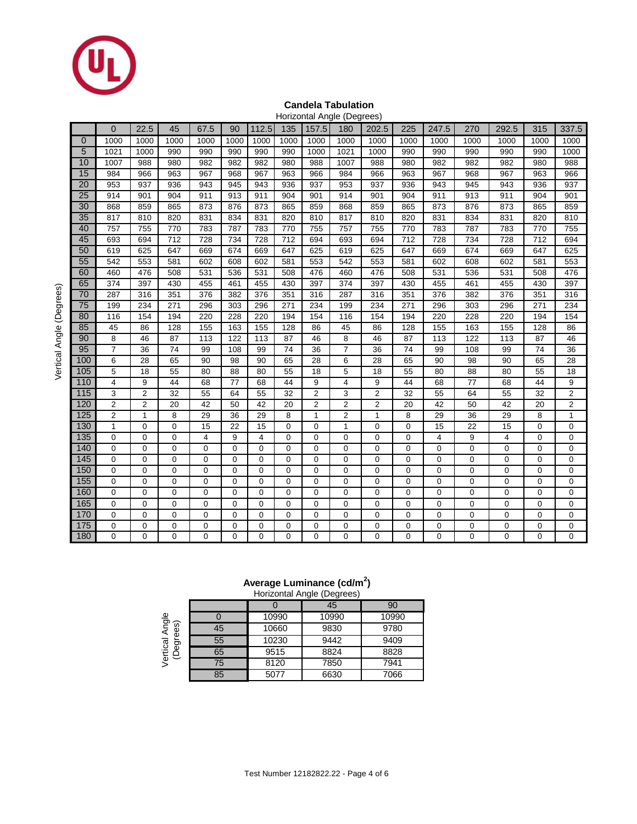

## **Candela Tabulation**

|                 | Horizontal Angle (Degrees) |                |             |             |                |                |                |                |                |                |             |             |      |             |      |                |
|-----------------|----------------------------|----------------|-------------|-------------|----------------|----------------|----------------|----------------|----------------|----------------|-------------|-------------|------|-------------|------|----------------|
|                 | $\Omega$                   | 22.5           | 45          | 67.5        | 90             | 112.5          | 135            | 157.5          | 180            | 202.5          | 225         | 247.5       | 270  | 292.5       | 315  | 337.5          |
| $\overline{0}$  | 1000                       | 1000           | 1000        | 1000        | 1000           | 1000           | 1000           | 1000           | 1000           | 1000           | 1000        | 1000        | 1000 | 1000        | 1000 | 1000           |
| 5               | 1021                       | 1000           | 990         | 990         | 990            | 990            | 990            | 1000           | 1021           | 1000           | 990         | 990         | 990  | 990         | 990  | 1000           |
| 10              | 1007                       | 988            | 980         | 982         | 982            | 982            | 980            | 988            | 1007           | 988            | 980         | 982         | 982  | 982         | 980  | 988            |
| 15              | 984                        | 966            | 963         | 967         | 968            | 967            | 963            | 966            | 984            | 966            | 963         | 967         | 968  | 967         | 963  | 966            |
| $\overline{20}$ | 953                        | 937            | 936         | 943         | 945            | 943            | 936            | 937            | 953            | 937            | 936         | 943         | 945  | 943         | 936  | 937            |
| 25              | 914                        | 901            | 904         | 911         | 913            | 911            | 904            | 901            | 914            | 901            | 904         | 911         | 913  | 911         | 904  | 901            |
| 30              | 868                        | 859            | 865         | 873         | 876            | 873            | 865            | 859            | 868            | 859            | 865         | 873         | 876  | 873         | 865  | 859            |
| 35              | 817                        | 810            | 820         | 831         | 834            | 831            | 820            | 810            | 817            | 810            | 820         | 831         | 834  | 831         | 820  | 810            |
| 40              | 757                        | 755            | 770         | 783         | 787            | 783            | 770            | 755            | 757            | 755            | 770         | 783         | 787  | 783         | 770  | 755            |
| 45              | 693                        | 694            | 712         | 728         | 734            | 728            | 712            | 694            | 693            | 694            | 712         | 728         | 734  | 728         | 712  | 694            |
| 50              | 619                        | 625            | 647         | 669         | 674            | 669            | 647            | 625            | 619            | 625            | 647         | 669         | 674  | 669         | 647  | 625            |
| 55              | 542                        | 553            | 581         | 602         | 608            | 602            | 581            | 553            | 542            | 553            | 581         | 602         | 608  | 602         | 581  | 553            |
| 60              | 460                        | 476            | 508         | 531         | 536            | 531            | 508            | 476            | 460            | 476            | 508         | 531         | 536  | 531         | 508  | 476            |
| 65              | 374                        | 397            | 430         | 455         | 461            | 455            | 430            | 397            | 374            | 397            | 430         | 455         | 461  | 455         | 430  | 397            |
| 70              | 287                        | 316            | 351         | 376         | 382            | 376            | 351            | 316            | 287            | 316            | 351         | 376         | 382  | 376         | 351  | 316            |
| $\overline{75}$ | 199                        | 234            | 271         | 296         | 303            | 296            | 271            | 234            | 199            | 234            | 271         | 296         | 303  | 296         | 271  | 234            |
| 80              | 116                        | 154            | 194         | 220         | 228            | 220            | 194            | 154            | 116            | 154            | 194         | 220         | 228  | 220         | 194  | 154            |
| 85              | 45                         | 86             | 128         | 155         | 163            | 155            | 128            | 86             | 45             | 86             | 128         | 155         | 163  | 155         | 128  | 86             |
| 90              | 8                          | 46             | 87          | 113         | 122            | 113            | 87             | 46             | 8              | 46             | 87          | 113         | 122  | 113         | 87   | 46             |
| 95              | $\overline{7}$             | 36             | 74          | 99          | 108            | 99             | 74             | 36             | $\overline{7}$ | 36             | 74          | 99          | 108  | 99          | 74   | 36             |
| 100             | 6                          | 28             | 65          | 90          | 98             | 90             | 65             | 28             | 6              | 28             | 65          | 90          | 98   | 90          | 65   | 28             |
| 105             | 5                          | 18             | 55          | 80          | 88             | 80             | 55             | 18             | 5              | 18             | 55          | 80          | 88   | 80          | 55   | 18             |
| 110             | $\overline{4}$             | 9              | 44          | 68          | 77             | 68             | 44             | 9              | 4              | 9              | 44          | 68          | 77   | 68          | 44   | 9              |
| 115             | 3                          | $\overline{2}$ | 32          | 55          | 64             | 55             | 32             | $\overline{2}$ | 3              | $\mathbf 2$    | 32          | 55          | 64   | 55          | 32   | $\overline{2}$ |
| 120             | $\overline{2}$             | $\overline{2}$ | 20          | 42          | 50             | 42             | 20             | $\overline{2}$ | $\overline{c}$ | $\overline{2}$ | 20          | 42          | 50   | 42          | 20   | $\overline{2}$ |
| 125             | $\overline{2}$             | $\mathbf{1}$   | 8           | 29          | 36             | 29             | 8              | $\mathbf{1}$   | 2              | $\mathbf{1}$   | 8           | 29          | 36   | 29          | 8    | $\mathbf{1}$   |
| 130             | $\mathbf{1}$               | $\mathbf 0$    | 0           | 15          | 22             | 15             | $\mathbf 0$    | $\mathbf 0$    | 1              | $\mathbf 0$    | 0           | 15          | 22   | 15          | 0    | $\mathbf 0$    |
| 135             | 0                          | $\mathbf 0$    | 0           | 4           | 9              | 4              | $\mathbf 0$    | $\mathbf 0$    | 0              | $\mathbf 0$    | 0           | 4           | 9    | 4           | 0    | 0              |
| 140             | $\mathbf 0$                | 0              | 0           | $\mathbf 0$ | $\Omega$       | $\Omega$       | $\Omega$       | $\mathbf 0$    | 0              | $\mathbf 0$    | 0           | 0           | 0    | 0           | 0    | 0              |
| 145             | $\mathbf 0$                | $\mathbf 0$    | $\mathbf 0$ | $\mathbf 0$ | $\mathbf 0$    | $\mathbf 0$    | $\mathbf 0$    | $\mathbf 0$    | 0              | $\pmb{0}$      | $\mathbf 0$ | $\mathbf 0$ | 0    | 0           | 0    | $\mathbf 0$    |
| 150             | 0                          | $\mathbf 0$    | $\mathbf 0$ | $\mathbf 0$ | $\mathbf 0$    | 0              | $\mathbf 0$    | $\mathbf 0$    | 0              | $\mathbf 0$    | 0           | 0           | 0    | 0           | 0    | 0              |
| 155             | $\mathbf 0$                | $\Omega$       | 0           | 0           | $\Omega$       | 0              | $\Omega$       | $\mathbf 0$    | 0              | $\mathbf 0$    | 0           | 0           | 0    | 0           | 0    | $\mathbf 0$    |
| 160             | $\mathbf 0$                | $\mathbf 0$    | 0           | 0           | $\mathbf 0$    | 0              | $\mathbf 0$    | $\overline{0}$ | 0              | $\mathbf 0$    | 0           | 0           | 0    | $\mathbf 0$ | 0    | $\mathbf 0$    |
| 165             | $\mathbf 0$                | $\mathbf 0$    | 0           | $\mathbf 0$ | $\mathbf 0$    | 0              | $\mathbf 0$    | $\mathbf 0$    | 0              | $\mathbf 0$    | 0           | 0           | 0    | 0           | 0    | $\mathbf 0$    |
| 170             | $\mathbf 0$                | $\mathbf 0$    | $\Omega$    | $\mathbf 0$ | $\Omega$       | 0              | $\Omega$       | $\Omega$       | 0              | $\mathbf 0$    | 0           | $\mathbf 0$ | 0    | 0           | 0    | $\mathbf 0$    |
| 175             | $\mathbf 0$                | $\mathbf 0$    | 0           | 0           | $\mathbf 0$    | 0              | $\mathbf 0$    | $\mathbf 0$    | 0              | $\pmb{0}$      | 0           | 0           | 0    | 0           | 0    | $\mathbf 0$    |
| 180             | 0                          | $\Omega$       | 0           | 0           | $\overline{0}$ | $\overline{0}$ | $\overline{0}$ | $\overline{0}$ | 0              | 0              | 0           | 0           | 0    | 0           | 0    | $\mathbf 0$    |

## **Average Luminance (cd/m<sup>2</sup> )**

|                          |    |       | Horizontal Angle (Degrees) |       |
|--------------------------|----|-------|----------------------------|-------|
|                          |    |       | 45                         | 90    |
|                          |    | 10990 | 10990                      | 10990 |
| Angle<br>ଜ<br>ğ,         | 45 | 10660 | 9830                       | 9780  |
| Vertical<br>(Degre<br>Ğ9 | 55 | 10230 | 9442                       | 9409  |
|                          | 65 | 9515  | 8824                       | 8828  |
|                          | 75 | 8120  | 7850                       | 7941  |
|                          | 85 | 5077  | 6630                       | 7066  |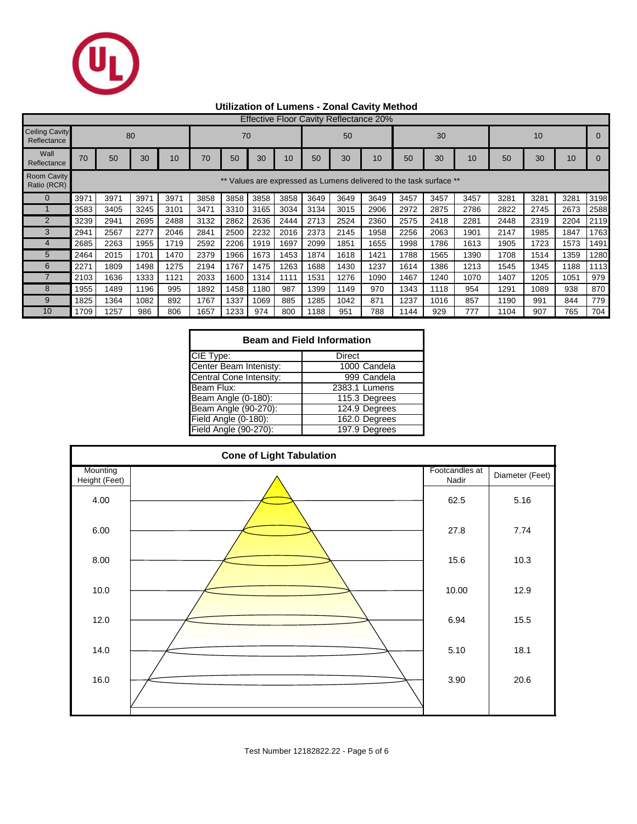

## **Utilization of Lumens - Zonal Cavity Method**

|                                      | <b>Effective Floor Cavity Reflectance 20%</b>                   |      |      |      |      |      |      |      |      |      |      |      |      |      |      |      |      |      |
|--------------------------------------|-----------------------------------------------------------------|------|------|------|------|------|------|------|------|------|------|------|------|------|------|------|------|------|
| <b>Ceiling Cavity</b><br>Reflectance | 80<br>70                                                        |      |      |      |      |      |      | 50   |      |      | 30   |      |      | 10   |      |      |      |      |
| Wall<br>Reflectance                  | 70                                                              | 50   | 30   | 10   | 70   | 50   | 30   | 10   | 50   | 30   | 10   | 50   | 30   | 10   | 50   | 30   | 10   |      |
| <b>Room Cavity</b><br>Ratio (RCR)    | Values are expressed as Lumens delivered to the task surface ** |      |      |      |      |      |      |      |      |      |      |      |      |      |      |      |      |      |
| $\Omega$                             | 3971                                                            | 3971 | 3971 | 3971 | 3858 | 3858 | 3858 | 3858 | 3649 | 3649 | 3649 | 3457 | 3457 | 3457 | 3281 | 3281 | 3281 | 3198 |
|                                      | 3583                                                            | 3405 | 3245 | 3101 | 3471 | 3310 | 3165 | 3034 | 3134 | 3015 | 2906 | 2972 | 2875 | 2786 | 2822 | 2745 | 2673 | 2588 |
| $\overline{2}$                       | 3239                                                            | 2941 | 2695 | 2488 | 3132 | 2862 | 2636 | 2444 | 2713 | 2524 | 2360 | 2575 | 2418 | 2281 | 2448 | 2319 | 2204 | 2119 |
| 3                                    | 2941                                                            | 2567 | 2277 | 2046 | 2841 | 2500 | 2232 | 2016 | 2373 | 2145 | 1958 | 2256 | 2063 | 1901 | 2147 | 1985 | 1847 | 1763 |
|                                      | 2685                                                            | 2263 | 1955 | 1719 | 2592 | 2206 | 1919 | 1697 | 2099 | 1851 | 1655 | 1998 | 1786 | 1613 | 1905 | 1723 | 1573 | 1491 |
| 5                                    | 2464                                                            | 2015 | 1701 | 1470 | 2379 | 1966 | 1673 | 1453 | 1874 | 1618 | 1421 | 1788 | 1565 | 1390 | 1708 | 1514 | 1359 | 1280 |
| 6                                    | 2271                                                            | 1809 | 1498 | 1275 | 2194 | 1767 | 1475 | 1263 | 1688 | 1430 | 1237 | 1614 | 1386 | 1213 | 1545 | 1345 | 1188 | 1113 |
|                                      | 2103                                                            | 1636 | 1333 | 1121 | 2033 | 1600 | 1314 | 1111 | 1531 | 1276 | 1090 | 1467 | 1240 | 1070 | 1407 | 1205 | 1051 | 979  |
| 8                                    | 1955                                                            | 1489 | 1196 | 995  | 1892 | 1458 | 1180 | 987  | 1399 | 1149 | 970  | 1343 | 1118 | 954  | 1291 | 1089 | 938  | 870  |
| 9                                    | 1825                                                            | 1364 | 1082 | 892  | 1767 | 1337 | 1069 | 885  | 1285 | 1042 | 871  | 1237 | 1016 | 857  | 1190 | 991  | 844  | 779  |
| 10                                   | 1709                                                            | 1257 | 986  | 806  | 1657 | 1233 | 974  | 800  | 188  | 951  | 788  | 1144 | 929  | 777  | 1104 | 907  | 765  | 704  |

| <b>Beam and Field Information</b> |               |  |  |  |  |  |  |
|-----------------------------------|---------------|--|--|--|--|--|--|
| CIE Type:                         | Direct        |  |  |  |  |  |  |
| Center Beam Intenisty:            | 1000 Candela  |  |  |  |  |  |  |
| Central Cone Intensity:           | 999 Candela   |  |  |  |  |  |  |
| Beam Flux:                        | 2383.1 Lumens |  |  |  |  |  |  |
| Beam Angle (0-180):               | 115.3 Degrees |  |  |  |  |  |  |
| Beam Angle (90-270):              | 124.9 Degrees |  |  |  |  |  |  |
| Field Angle (0-180):              | 162.0 Degrees |  |  |  |  |  |  |
| Field Angle (90-270):             | 197.9 Degrees |  |  |  |  |  |  |